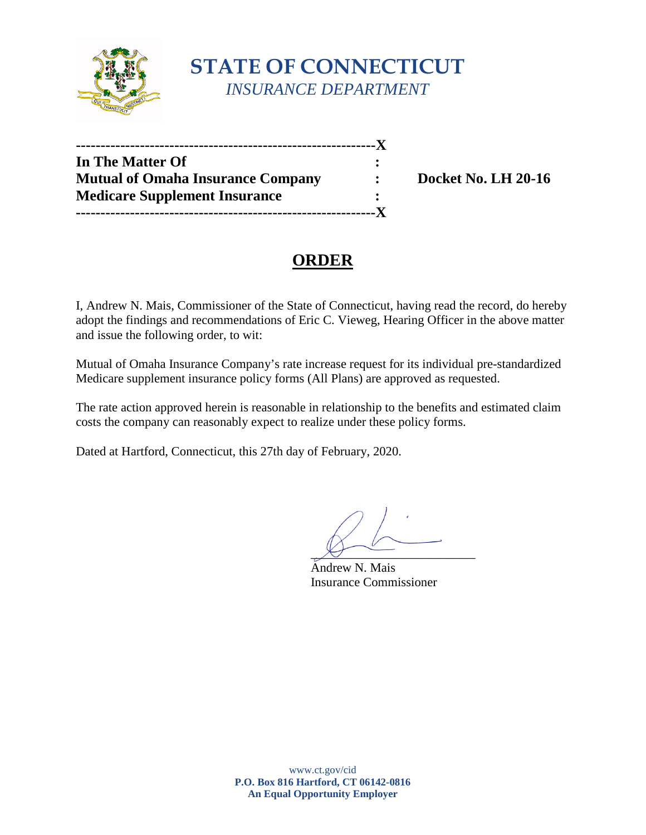

# **STATE OF CONNECTICUT** *INSURANCE DEPARTMENT*

| <b>In The Matter Of</b>                  |  |
|------------------------------------------|--|
| <b>Mutual of Omaha Insurance Company</b> |  |
| <b>Medicare Supplement Insurance</b>     |  |
| ----------------                         |  |

**Mutual Docket No. LH 20-16** 

## **ORDER**

I, Andrew N. Mais, Commissioner of the State of Connecticut, having read the record, do hereby adopt the findings and recommendations of Eric C. Vieweg, Hearing Officer in the above matter and issue the following order, to wit:

Mutual of Omaha Insurance Company's rate increase request for its individual pre-standardized Medicare supplement insurance policy forms (All Plans) are approved as requested.

The rate action approved herein is reasonable in relationship to the benefits and estimated claim costs the company can reasonably expect to realize under these policy forms.

Dated at Hartford, Connecticut, this 27th day of February, 2020.

 $\chi_f$  -

Andrew N. Mais Insurance Commissioner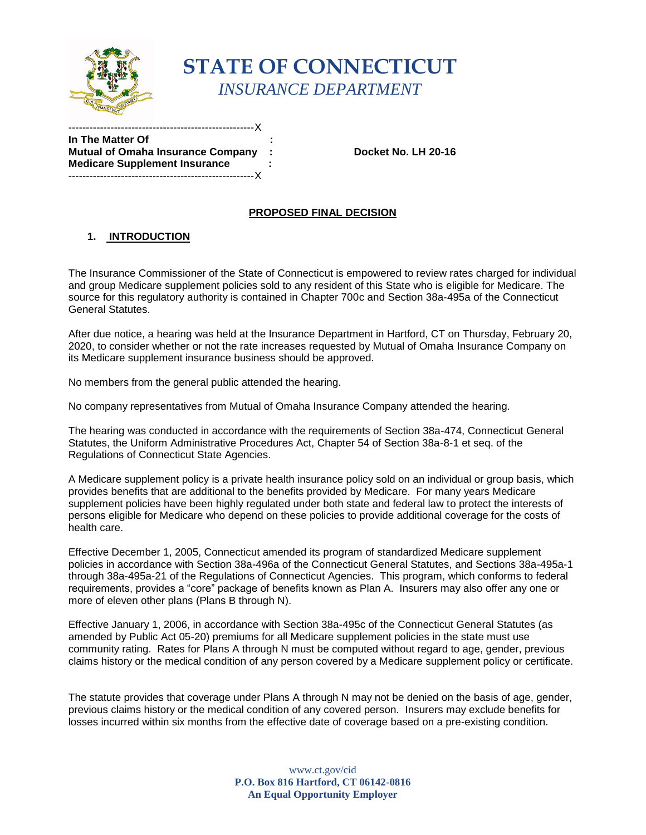

# **STATE OF CONNECTICUT** *INSURANCE DEPARTMENT*

**In The Matter Of Mutual of Omaha Insurance Company : Docket No. LH 20-16 Medicare Supplement Insurance : :** -----------------------------------------------------X

-----------------------------------------------------X

### **PROPOSED FINAL DECISION**

### **1. INTRODUCTION**

The Insurance Commissioner of the State of Connecticut is empowered to review rates charged for individual and group Medicare supplement policies sold to any resident of this State who is eligible for Medicare. The source for this regulatory authority is contained in Chapter 700c and Section 38a-495a of the Connecticut General Statutes.

After due notice, a hearing was held at the Insurance Department in Hartford, CT on Thursday, February 20, 2020, to consider whether or not the rate increases requested by Mutual of Omaha Insurance Company on its Medicare supplement insurance business should be approved.

No members from the general public attended the hearing.

No company representatives from Mutual of Omaha Insurance Company attended the hearing.

The hearing was conducted in accordance with the requirements of Section 38a-474, Connecticut General Statutes, the Uniform Administrative Procedures Act, Chapter 54 of Section 38a-8-1 et seq. of the Regulations of Connecticut State Agencies.

A Medicare supplement policy is a private health insurance policy sold on an individual or group basis, which provides benefits that are additional to the benefits provided by Medicare. For many years Medicare supplement policies have been highly regulated under both state and federal law to protect the interests of persons eligible for Medicare who depend on these policies to provide additional coverage for the costs of health care.

Effective December 1, 2005, Connecticut amended its program of standardized Medicare supplement policies in accordance with Section 38a-496a of the Connecticut General Statutes, and Sections 38a-495a-1 through 38a-495a-21 of the Regulations of Connecticut Agencies. This program, which conforms to federal requirements, provides a "core" package of benefits known as Plan A. Insurers may also offer any one or more of eleven other plans (Plans B through N).

Effective January 1, 2006, in accordance with Section 38a-495c of the Connecticut General Statutes (as amended by Public Act 05-20) premiums for all Medicare supplement policies in the state must use community rating. Rates for Plans A through N must be computed without regard to age, gender, previous claims history or the medical condition of any person covered by a Medicare supplement policy or certificate.

The statute provides that coverage under Plans A through N may not be denied on the basis of age, gender, previous claims history or the medical condition of any covered person. Insurers may exclude benefits for losses incurred within six months from the effective date of coverage based on a pre-existing condition.

> www.ct.gov/cid **P.O. Box 816 Hartford, CT 06142-0816 An Equal Opportunity Employer**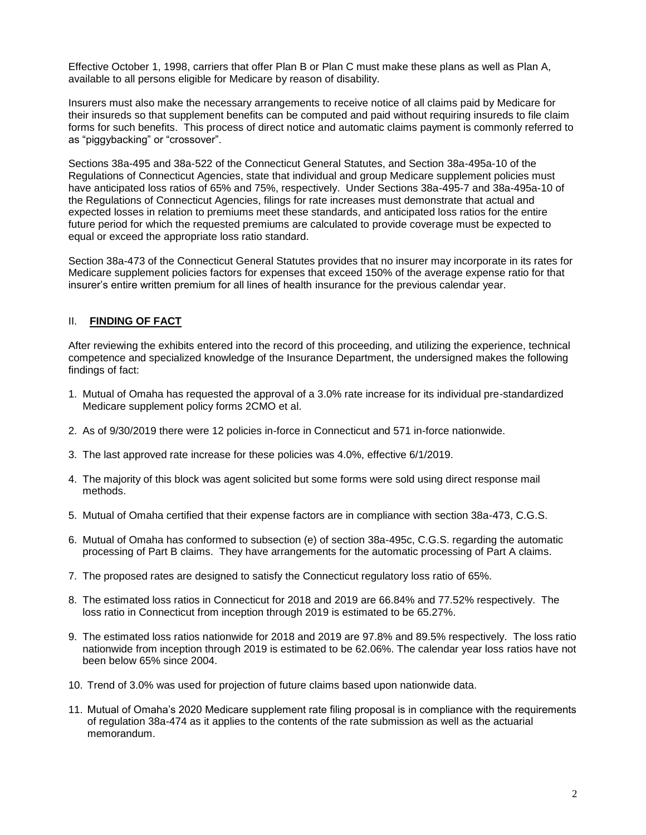Effective October 1, 1998, carriers that offer Plan B or Plan C must make these plans as well as Plan A, available to all persons eligible for Medicare by reason of disability.

Insurers must also make the necessary arrangements to receive notice of all claims paid by Medicare for their insureds so that supplement benefits can be computed and paid without requiring insureds to file claim forms for such benefits. This process of direct notice and automatic claims payment is commonly referred to as "piggybacking" or "crossover".

Sections 38a-495 and 38a-522 of the Connecticut General Statutes, and Section 38a-495a-10 of the Regulations of Connecticut Agencies, state that individual and group Medicare supplement policies must have anticipated loss ratios of 65% and 75%, respectively. Under Sections 38a-495-7 and 38a-495a-10 of the Regulations of Connecticut Agencies, filings for rate increases must demonstrate that actual and expected losses in relation to premiums meet these standards, and anticipated loss ratios for the entire future period for which the requested premiums are calculated to provide coverage must be expected to equal or exceed the appropriate loss ratio standard.

Section 38a-473 of the Connecticut General Statutes provides that no insurer may incorporate in its rates for Medicare supplement policies factors for expenses that exceed 150% of the average expense ratio for that insurer's entire written premium for all lines of health insurance for the previous calendar year.

#### II. **FINDING OF FACT**

After reviewing the exhibits entered into the record of this proceeding, and utilizing the experience, technical competence and specialized knowledge of the Insurance Department, the undersigned makes the following findings of fact:

- 1. Mutual of Omaha has requested the approval of a 3.0% rate increase for its individual pre-standardized Medicare supplement policy forms 2CMO et al.
- 2. As of 9/30/2019 there were 12 policies in-force in Connecticut and 571 in-force nationwide.
- 3. The last approved rate increase for these policies was 4.0%, effective 6/1/2019.
- 4. The majority of this block was agent solicited but some forms were sold using direct response mail methods.
- 5. Mutual of Omaha certified that their expense factors are in compliance with section 38a-473, C.G.S.
- 6. Mutual of Omaha has conformed to subsection (e) of section 38a-495c, C.G.S. regarding the automatic processing of Part B claims. They have arrangements for the automatic processing of Part A claims.
- 7. The proposed rates are designed to satisfy the Connecticut regulatory loss ratio of 65%.
- 8. The estimated loss ratios in Connecticut for 2018 and 2019 are 66.84% and 77.52% respectively. The loss ratio in Connecticut from inception through 2019 is estimated to be 65.27%.
- 9. The estimated loss ratios nationwide for 2018 and 2019 are 97.8% and 89.5% respectively. The loss ratio nationwide from inception through 2019 is estimated to be 62.06%. The calendar year loss ratios have not been below 65% since 2004.
- 10. Trend of 3.0% was used for projection of future claims based upon nationwide data.
- 11. Mutual of Omaha's 2020 Medicare supplement rate filing proposal is in compliance with the requirements of regulation 38a-474 as it applies to the contents of the rate submission as well as the actuarial memorandum.